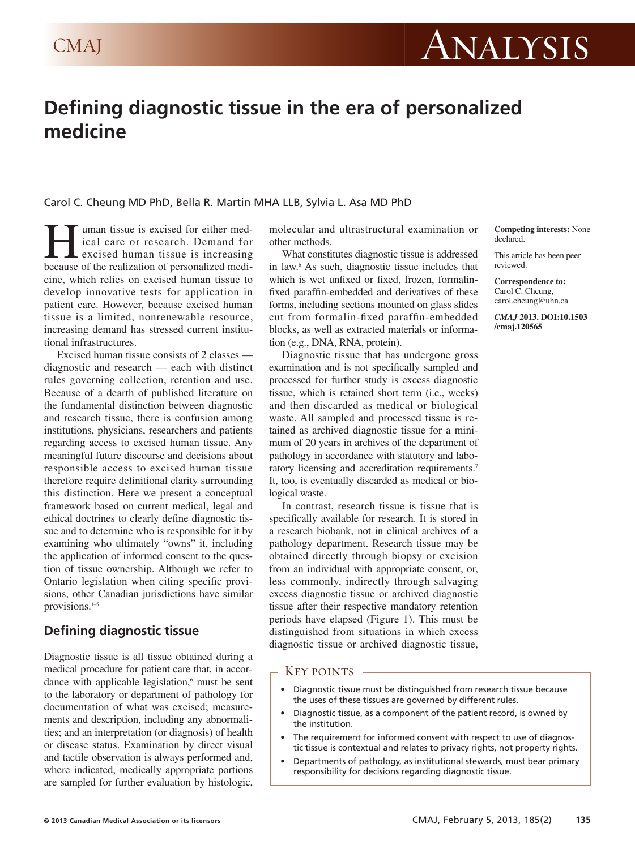

# **Defining diagnostic tissue in the era of personalized medicine**

Carol C. Cheung MD PhD, Bella R. Martin MHA LLB, Sylvia L. Asa MD PhD

uman tissue is excised for either medical care or research. Demand for excised human tissue is increasing because of the realization of personalized medicine, which relies on excised human tissue to develop innovative tests for application in patient care. However, because excised human tissue is a limited, nonrenewable resource, increasing demand has stressed current institutional infrastructures.

Excised human tissue consists of 2 classes diagnostic and research — each with distinct rules governing collection, retention and use. Because of a dearth of published literature on the fundamental distinction between diagnostic and research tissue, there is confusion among institutions, physicians, researchers and patients regarding access to excised human tissue. Any meaningful future discourse and decisions about responsible access to excised human tissue therefore require definitional clarity surrounding this distinction. Here we present a conceptual framework based on current medical, legal and ethical doctrines to clearly define diagnostic tissue and to determine who is responsible for it by examining who ultimately "owns" it, including the application of informed consent to the question of tissue ownership. Although we refer to Ontario legislation when citing specific provisions, other Canadian jurisdictions have similar provisions.1–5

## **Defining diagnostic tissue**

Diagnostic tissue is all tissue obtained during a medical procedure for patient care that, in accordance with applicable legislation,<sup>6</sup> must be sent to the laboratory or department of pathology for documentation of what was excised; measurements and description, including any abnormalities; and an interpretation (or diagnosis) of health or disease status. Examination by direct visual and tactile observation is always performed and, where indicated, medically appropriate portions are sampled for further evaluation by histologic, molecular and ultrastructural examination or other methods.

What constitutes diagnostic tissue is addressed in law.6 As such, diagnostic tissue includes that which is wet unfixed or fixed, frozen, formalinfixed paraffin-embedded and derivatives of these forms, including sections mounted on glass slides cut from formalin-fixed paraffin-embedded blocks, as well as extracted materials or information (e.g., DNA, RNA, protein).

Diagnostic tissue that has undergone gross examination and is not specifically sampled and processed for further study is excess diagnostic tissue, which is retained short term (i.e., weeks) and then discarded as medical or biological waste. All sampled and processed tissue is retained as archived diagnostic tissue for a minimum of 20 years in archives of the department of pathology in accordance with statutory and laboratory licensing and accreditation requirements.<sup>7</sup> It, too, is eventually discarded as medical or biological waste.

In contrast, research tissue is tissue that is specifically available for research. It is stored in a research biobank, not in clinical archives of a pathology department. Research tissue may be obtained directly through biopsy or excision from an individual with appropriate consent, or, less commonly, indirectly through salvaging excess diagnostic tissue or archived diagnostic tissue after their respective mandatory retention periods have elapsed (Figure 1). This must be distinguished from situations in which excess diagnostic tissue or archived diagnostic tissue,

#### - Key points *-*

- Diagnostic tissue must be distinguished from research tissue because the uses of these tissues are governed by different rules.
- Diagnostic tissue, as a component of the patient record, is owned by the institution.
- The requirement for informed consent with respect to use of diagnostic tissue is contextual and relates to privacy rights, not property rights.
- Departments of pathology, as institutional stewards, must bear primary responsibility for decisions regarding diagnostic tissue.

**Competing interests:** None declared.

This article has been peer reviewed.

**Correspondence to:** Carol C. Cheung, carol.cheung@uhn.ca

*CMAJ* **2013. DOI:10.1503 /cmaj.120565**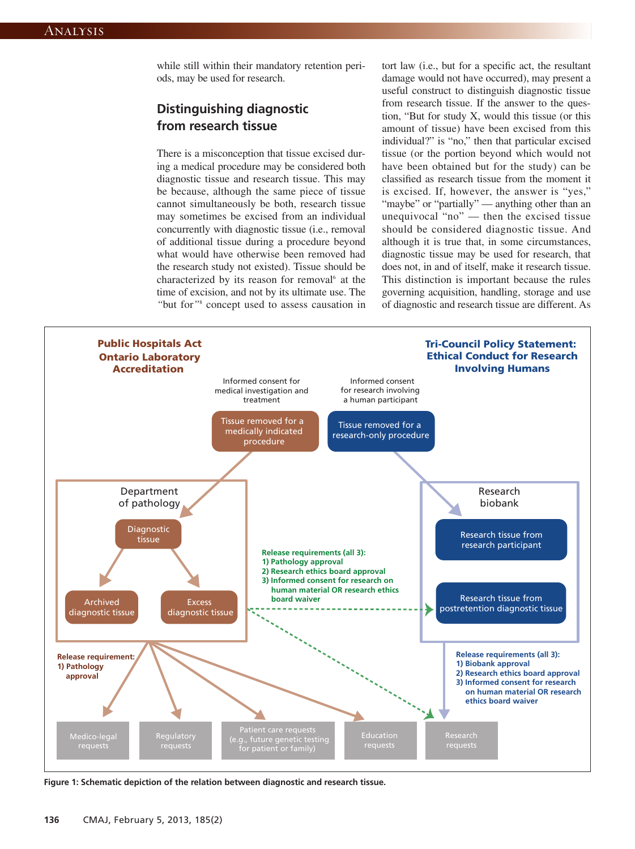while still within their mandatory retention periods, may be used for research.

# **Distinguishing diagnostic from research tissue**

There is a misconception that tissue excised during a medical procedure may be considered both diagnostic tissue and research tissue. This may be because, although the same piece of tissue cannot simultaneously be both, research tissue may sometimes be excised from an individual concurrently with diagnostic tissue (i.e., removal of additional tissue during a procedure beyond what would have otherwise been removed had the research study not existed). Tissue should be characterized by its reason for removal<sup>6</sup> at the time of excision, and not by its ultimate use. The *"*but for*"*<sup>8</sup> concept used to assess causation in tort law (i.e., but for a specific act, the resultant damage would not have occurred), may present a useful construct to distinguish diagnostic tissue from research tissue. If the answer to the question, "But for study X, would this tissue (or this amount of tissue) have been excised from this individual?" is "no," then that particular excised tissue (or the portion beyond which would not have been obtained but for the study) can be classified as research tissue from the moment it is excised. If, however, the answer is "yes," "maybe" or "partially" — anything other than an unequivocal "no" — then the excised tissue should be considered diagnostic tissue. And although it is true that, in some circumstances, diagnostic tissue may be used for research, that does not, in and of itself, make it research tissue. This distinction is important because the rules governing acquisition, handling, storage and use of diagnostic and research tissue are different. As



**Figure 1: Schematic depiction of the relation between diagnostic and research tissue.**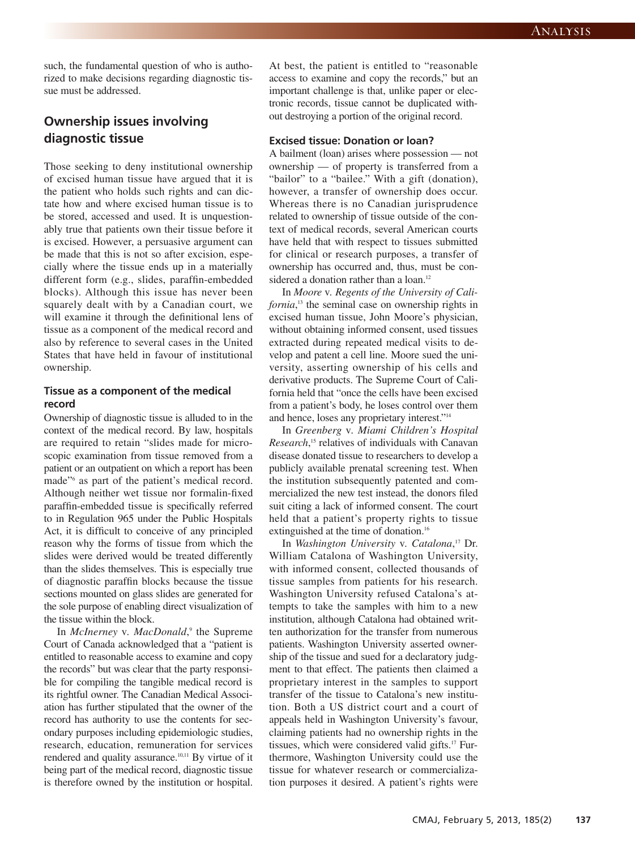such, the fundamental question of who is authorized to make decisions regarding diagnostic tissue must be addressed.

# **Ownership issues involving diagnostic tissue**

Those seeking to deny institutional ownership of excised human tissue have argued that it is the patient who holds such rights and can dictate how and where excised human tissue is to be stored, accessed and used. It is unquestionably true that patients own their tissue before it is excised. However, a persuasive argument can be made that this is not so after excision, especially where the tissue ends up in a materially different form (e.g., slides, paraffin-embedded blocks). Although this issue has never been squarely dealt with by a Canadian court, we will examine it through the definitional lens of tissue as a component of the medical record and also by reference to several cases in the United States that have held in favour of institutional ownership.

#### **Tissue as a component of the medical record**

Ownership of diagnostic tissue is alluded to in the context of the medical record. By law, hospitals are required to retain "slides made for microscopic examination from tissue removed from a patient or an outpatient on which a report has been made"6 as part of the patient's medical record. Although neither wet tissue nor formalin-fixed paraffin-embedded tissue is specifically referred to in Regulation 965 under the Public Hospitals Act, it is difficult to conceive of any principled reason why the forms of tissue from which the slides were derived would be treated differently than the slides themselves. This is especially true of diagnostic paraffin blocks because the tissue sections mounted on glass slides are generated for the sole purpose of enabling direct visualization of the tissue within the block.

In *McInerney* v*. MacDonald*, <sup>9</sup> the Supreme Court of Canada acknowledged that a "patient is entitled to reasonable access to examine and copy the records" but was clear that the party responsible for compiling the tangible medical record is its rightful owner. The Canadian Medical Association has further stipulated that the owner of the record has authority to use the contents for secondary purposes including epidemiologic studies, research, education, remuneration for services rendered and quality assurance.<sup>10,11</sup> By virtue of it being part of the medical record, diagnostic tissue is therefore owned by the institution or hospital. At best, the patient is entitled to "reasonable access to examine and copy the records," but an important challenge is that, unlike paper or electronic records, tissue cannot be duplicated without destroying a portion of the original record.

#### **Excised tissue: Donation or loan?**

A bailment (loan) arises where possession — not ownership — of property is transferred from a "bailor" to a "bailee." With a gift (donation), however, a transfer of ownership does occur. Whereas there is no Canadian jurisprudence related to ownership of tissue outside of the context of medical records, several American courts have held that with respect to tissues submitted for clinical or research purposes, a transfer of ownership has occurred and, thus, must be considered a donation rather than a loan.<sup>12</sup>

In *Moore* v*. Regents of the University of California*, <sup>13</sup> the seminal case on ownership rights in excised human tissue, John Moore's physician, without obtaining informed consent, used tissues extracted during repeated medical visits to develop and patent a cell line. Moore sued the university, asserting ownership of his cells and derivative products. The Supreme Court of California held that "once the cells have been excised from a patient's body, he loses control over them and hence, loses any proprietary interest."14

In *Greenberg* v*. Miami Children's Hospital Research*, <sup>15</sup> relatives of individuals with Canavan disease donated tissue to researchers to develop a publicly available prenatal screening test. When the institution subsequently patented and commercialized the new test instead, the donors filed suit citing a lack of informed consent. The court held that a patient's property rights to tissue extinguished at the time of donation.<sup>16</sup>

In *Washington University* v*. Catalona*, <sup>17</sup> Dr. William Catalona of Washington University, with informed consent, collected thousands of tissue samples from patients for his research. Washington University refused Catalona's at tempts to take the samples with him to a new institution, although Catalona had obtained written authorization for the transfer from numerous patients. Washington University asserted ownership of the tissue and sued for a declaratory judgment to that effect. The patients then claimed a proprietary interest in the samples to support transfer of the tissue to Catalona's new institution. Both a US district court and a court of appeals held in Washington University's favour, claiming patients had no ownership rights in the tissues, which were considered valid gifts.<sup>17</sup> Furthermore, Washington University could use the tissue for whatever research or commercialization purposes it desired. A patient's rights were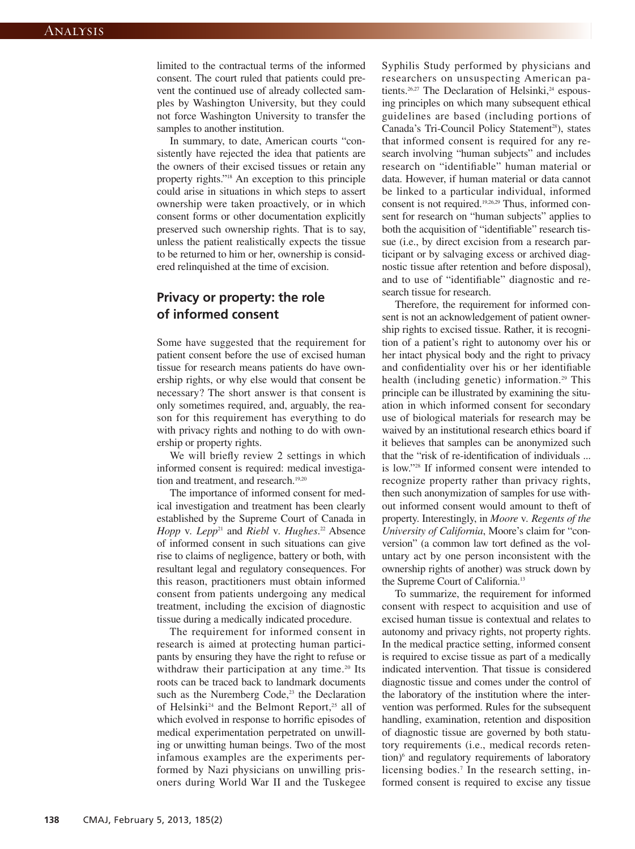limited to the contractual terms of the informed consent. The court ruled that patients could prevent the continued use of already collected samples by Washington University, but they could not force Washington University to transfer the samples to another institution.

In summary, to date, American courts "consistently have rejected the idea that patients are the owners of their excised tissues or retain any property rights."18 An exception to this principle could arise in situations in which steps to assert ownership were taken proactively, or in which consent forms or other documentation explicitly preserved such ownership rights. That is to say, unless the patient realistically expects the tissue to be returned to him or her, ownership is considered relinquished at the time of excision.

## **Privacy or property: the role of informed consent**

Some have suggested that the requirement for patient consent before the use of excised human tissue for research means patients do have ownership rights, or why else would that consent be necessary? The short answer is that consent is only sometimes required, and, arguably, the reason for this requirement has everything to do with privacy rights and nothing to do with ownership or property rights.

We will briefly review 2 settings in which informed consent is required: medical investigation and treatment, and research.<sup>19,20</sup>

The importance of informed consent for medical investigation and treatment has been clearly established by the Supreme Court of Canada in *Hopp* v*. Lepp*<sup>21</sup> and *Riebl* v*. Hughes*. <sup>22</sup> Absence of informed consent in such situations can give rise to claims of negligence, battery or both, with resultant legal and regulatory consequences. For this reason, practitioners must obtain informed consent from patients undergoing any medical treatment, including the excision of diagnostic tissue during a medically indicated procedure.

The requirement for informed consent in research is aimed at protecting human participants by ensuring they have the right to refuse or withdraw their participation at any time.<sup>20</sup> Its roots can be traced back to landmark documents such as the Nuremberg Code,<sup>23</sup> the Declaration of Helsinki<sup>24</sup> and the Belmont Report,<sup>25</sup> all of which evolved in response to horrific episodes of medical experimentation perpetrated on unwilling or unwitting human beings. Two of the most infamous examples are the experiments performed by Nazi physicians on unwilling prisoners during World War II and the Tuskegee

Syphilis Study performed by physicians and researchers on unsuspecting American patients.<sup>26,27</sup> The Declaration of Helsinki,<sup>24</sup> espousing principles on which many subsequent ethical guidelines are based (including portions of Canada's Tri-Council Policy Statement<sup>28</sup>), states that informed consent is required for any re search involving "human subjects" and includes research on "identifiable" human material or data. However, if human material or data cannot be linked to a particular individual, informed consent is not required.<sup>19,26,29</sup> Thus, informed consent for research on "human subjects" applies to both the acquisition of "identifiable" research tissue (i.e., by direct excision from a research participant or by salvaging excess or archived diagnostic tissue after retention and before disposal), and to use of "identifiable" diagnostic and research tissue for research.

Therefore, the requirement for informed consent is not an acknowledgement of patient ownership rights to excised tissue. Rather, it is recognition of a patient's right to autonomy over his or her intact physical body and the right to privacy and confidentiality over his or her identifiable health (including genetic) information.<sup>29</sup> This principle can be illustrated by examining the situation in which informed consent for secondary use of biological materials for research may be waived by an institutional research ethics board if it believes that samples can be anonymized such that the "risk of re-identification of individuals ... is low."28 If informed consent were intended to recognize property rather than privacy rights, then such anonymization of samples for use without informed consent would amount to theft of property. Interestingly, in *Moore* v*. Regents of the University of California*, Moore's claim for "conversion" (a common law tort defined as the voluntary act by one person inconsistent with the ownership rights of another) was struck down by the Supreme Court of California.13

To summarize, the requirement for informed consent with respect to acquisition and use of excised human tissue is contextual and relates to autonomy and privacy rights, not property rights. In the medical practice setting, informed consent is required to excise tissue as part of a medically indicated intervention. That tissue is considered diagnostic tissue and comes under the control of the laboratory of the institution where the intervention was performed. Rules for the subsequent handling, examination, retention and disposition of diagnostic tissue are governed by both statutory requirements (i.e., medical records reten $tion)$ <sup>6</sup> and regulatory requirements of laboratory licensing bodies.<sup>7</sup> In the research setting, informed consent is required to excise any tissue